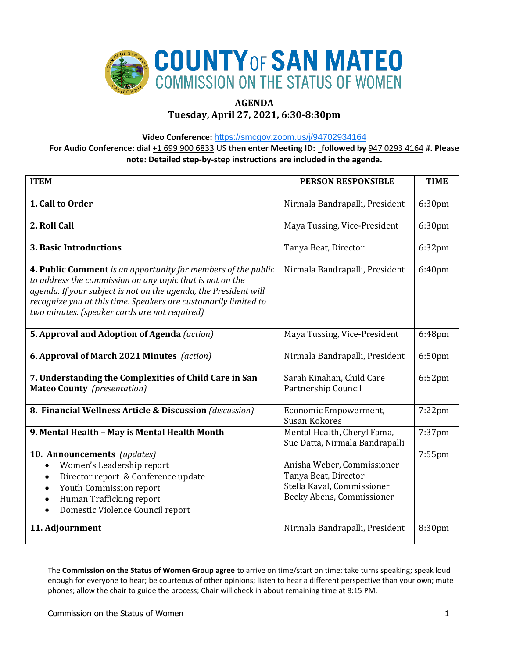

# **AGENDA**

# **Tuesday, April 27, 2021, 6:30-8:30pm**

**Video Conference:** <https://smcgov.zoom.us/j/94702934164>

**For Audio Conference: dial** +1 699 900 6833 US **then enter Meeting ID: followed by** 947 0293 4164 **#. Please note: Detailed step-by-step instructions are included in the agenda.**

| <b>ITEM</b>                                                                                                                                                                                                                                                                                                        | <b>PERSON RESPONSIBLE</b>                                                                                     | <b>TIME</b>        |
|--------------------------------------------------------------------------------------------------------------------------------------------------------------------------------------------------------------------------------------------------------------------------------------------------------------------|---------------------------------------------------------------------------------------------------------------|--------------------|
|                                                                                                                                                                                                                                                                                                                    |                                                                                                               |                    |
| 1. Call to Order                                                                                                                                                                                                                                                                                                   | Nirmala Bandrapalli, President                                                                                | 6:30pm             |
| 2. Roll Call                                                                                                                                                                                                                                                                                                       | Maya Tussing, Vice-President                                                                                  | 6:30pm             |
| <b>3. Basic Introductions</b>                                                                                                                                                                                                                                                                                      | Tanya Beat, Director                                                                                          | 6:32pm             |
| 4. Public Comment is an opportunity for members of the public<br>to address the commission on any topic that is not on the<br>agenda. If your subject is not on the agenda, the President will<br>recognize you at this time. Speakers are customarily limited to<br>two minutes. (speaker cards are not required) | Nirmala Bandrapalli, President                                                                                | 6:40pm             |
| 5. Approval and Adoption of Agenda (action)                                                                                                                                                                                                                                                                        | Maya Tussing, Vice-President                                                                                  | 6:48pm             |
| 6. Approval of March 2021 Minutes (action)                                                                                                                                                                                                                                                                         | Nirmala Bandrapalli, President                                                                                | 6:50 <sub>pm</sub> |
| 7. Understanding the Complexities of Child Care in San<br><b>Mateo County</b> (presentation)                                                                                                                                                                                                                       | Sarah Kinahan, Child Care<br>Partnership Council                                                              | $6:52$ pm          |
| 8. Financial Wellness Article & Discussion (discussion)                                                                                                                                                                                                                                                            | Economic Empowerment,<br>Susan Kokores                                                                        | $7:22$ pm          |
| 9. Mental Health - May is Mental Health Month                                                                                                                                                                                                                                                                      | Mental Health, Cheryl Fama,<br>Sue Datta, Nirmala Bandrapalli                                                 | 7:37pm             |
| 10. Announcements (updates)<br>Women's Leadership report<br>Director report & Conference update<br>Youth Commission report<br>Human Trafficking report<br>Domestic Violence Council report                                                                                                                         | Anisha Weber, Commissioner<br>Tanya Beat, Director<br>Stella Kaval, Commissioner<br>Becky Abens, Commissioner | 7:55pm             |
| 11. Adjournment                                                                                                                                                                                                                                                                                                    | Nirmala Bandrapalli, President                                                                                | 8:30pm             |

The **Commission on the Status of Women Group agree** to arrive on time/start on time; take turns speaking; speak loud enough for everyone to hear; be courteous of other opinions; listen to hear a different perspective than your own; mute phones; allow the chair to guide the process; Chair will check in about remaining time at 8:15 PM.